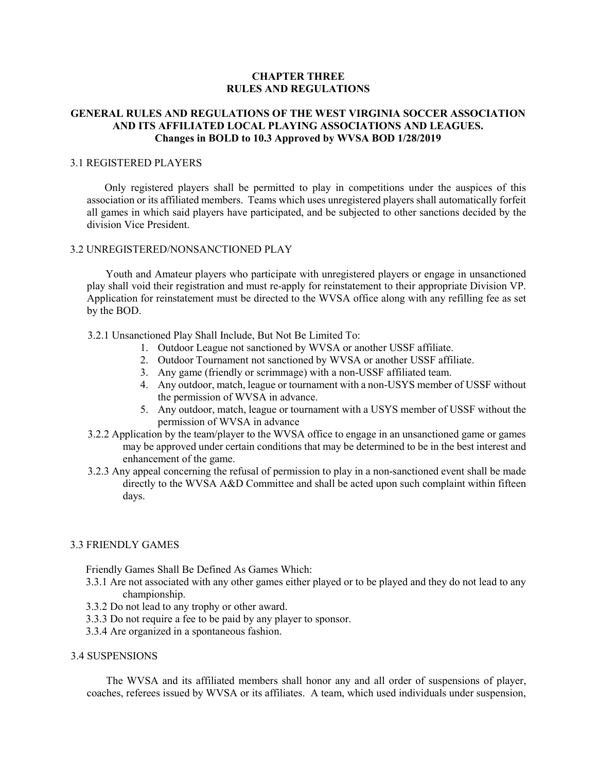## CHAPTER THREE RULES AND REGULATIONS

# GENERAL RULES AND REGULATIONS OF THE WEST VIRGINIA SOCCER ASSOCIATION AND ITS AFFILIATED LOCAL PLAYING ASSOCIATIONS AND LEAGUES. Changes in BOLD to 10.3 Approved by WVSA BOD 1/28/2019

## 3.1 REGISTERED PLAYERS

Only registered players shall be permitted to play in competitions under the auspices of this association or its affiliated members. Teams which uses unregistered players shall automatically forfeit all games in which said players have participated, and be subjected to other sanctions decided by the division Vice President.

## 3.2 UNREGISTERED/NONSANCTIONED PLAY

Youth and Amateur players who participate with unregistered players or engage in unsanctioned play shall void their registration and must re-apply for reinstatement to their appropriate Division VP. Application for reinstatement must be directed to the WVSA office along with any refilling fee as set by the BOD.

## 3.2.1 Unsanctioned Play Shall Include, But Not Be Limited To:

- 1. Outdoor League not sanctioned by WVSA or another USSF affiliate.
- 2. Outdoor Tournament not sanctioned by WVSA or another USSF affiliate.
- 3. Any game (friendly or scrimmage) with a non-USSF affiliated team.
- 4. Any outdoor, match, league or tournament with a non-USYS member of USSF without the permission of WVSA in advance.
- 5. Any outdoor, match, league or tournament with a USYS member of USSF without the permission of WVSA in advance
- 3.2.2 Application by the team/player to the WVSA office to engage in an unsanctioned game or games may be approved under certain conditions that may be determined to be in the best interest and enhancement of the game.
- 3.2.3 Any appeal concerning the refusal of permission to play in a non-sanctioned event shall be made directly to the WVSA A&D Committee and shall be acted upon such complaint within fifteen days.

#### 3.3 FRIENDLY GAMES

Friendly Games Shall Be Defined As Games Which:

- 3.3.1 Are not associated with any other games either played or to be played and they do not lead to any championship.
- 3.3.2 Do not lead to any trophy or other award.
- 3.3.3 Do not require a fee to be paid by any player to sponsor.
- 3.3.4 Are organized in a spontaneous fashion.

#### 3.4 SUSPENSIONS

The WVSA and its affiliated members shall honor any and all order of suspensions of player, coaches, referees issued by WVSA or its affiliates. A team, which used individuals under suspension,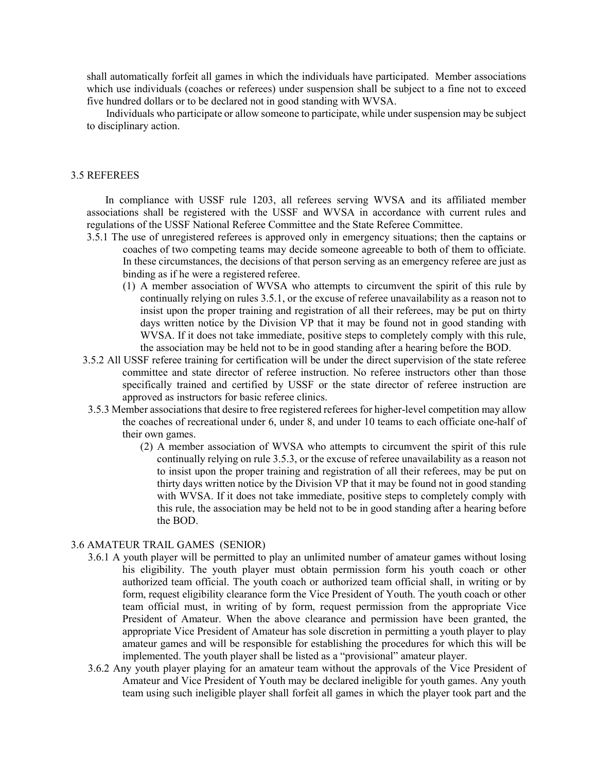shall automatically forfeit all games in which the individuals have participated. Member associations which use individuals (coaches or referees) under suspension shall be subject to a fine not to exceed five hundred dollars or to be declared not in good standing with WVSA.

Individuals who participate or allow someone to participate, while under suspension may be subject to disciplinary action.

#### 3.5 REFEREES

In compliance with USSF rule 1203, all referees serving WVSA and its affiliated member associations shall be registered with the USSF and WVSA in accordance with current rules and regulations of the USSF National Referee Committee and the State Referee Committee.

- 3.5.1 The use of unregistered referees is approved only in emergency situations; then the captains or coaches of two competing teams may decide someone agreeable to both of them to officiate. In these circumstances, the decisions of that person serving as an emergency referee are just as binding as if he were a registered referee.
	- (1) A member association of WVSA who attempts to circumvent the spirit of this rule by continually relying on rules 3.5.1, or the excuse of referee unavailability as a reason not to insist upon the proper training and registration of all their referees, may be put on thirty days written notice by the Division VP that it may be found not in good standing with WVSA. If it does not take immediate, positive steps to completely comply with this rule, the association may be held not to be in good standing after a hearing before the BOD.
- 3.5.2 All USSF referee training for certification will be under the direct supervision of the state referee committee and state director of referee instruction. No referee instructors other than those specifically trained and certified by USSF or the state director of referee instruction are approved as instructors for basic referee clinics.
- 3.5.3 Member associations that desire to free registered referees for higher-level competition may allow the coaches of recreational under 6, under 8, and under 10 teams to each officiate one-half of their own games.
	- (2) A member association of WVSA who attempts to circumvent the spirit of this rule continually relying on rule 3.5.3, or the excuse of referee unavailability as a reason not to insist upon the proper training and registration of all their referees, may be put on thirty days written notice by the Division VP that it may be found not in good standing with WVSA. If it does not take immediate, positive steps to completely comply with this rule, the association may be held not to be in good standing after a hearing before the BOD.

#### 3.6 AMATEUR TRAIL GAMES (SENIOR)

- 3.6.1 A youth player will be permitted to play an unlimited number of amateur games without losing his eligibility. The youth player must obtain permission form his youth coach or other authorized team official. The youth coach or authorized team official shall, in writing or by form, request eligibility clearance form the Vice President of Youth. The youth coach or other team official must, in writing of by form, request permission from the appropriate Vice President of Amateur. When the above clearance and permission have been granted, the appropriate Vice President of Amateur has sole discretion in permitting a youth player to play amateur games and will be responsible for establishing the procedures for which this will be implemented. The youth player shall be listed as a "provisional" amateur player.
- 3.6.2 Any youth player playing for an amateur team without the approvals of the Vice President of Amateur and Vice President of Youth may be declared ineligible for youth games. Any youth team using such ineligible player shall forfeit all games in which the player took part and the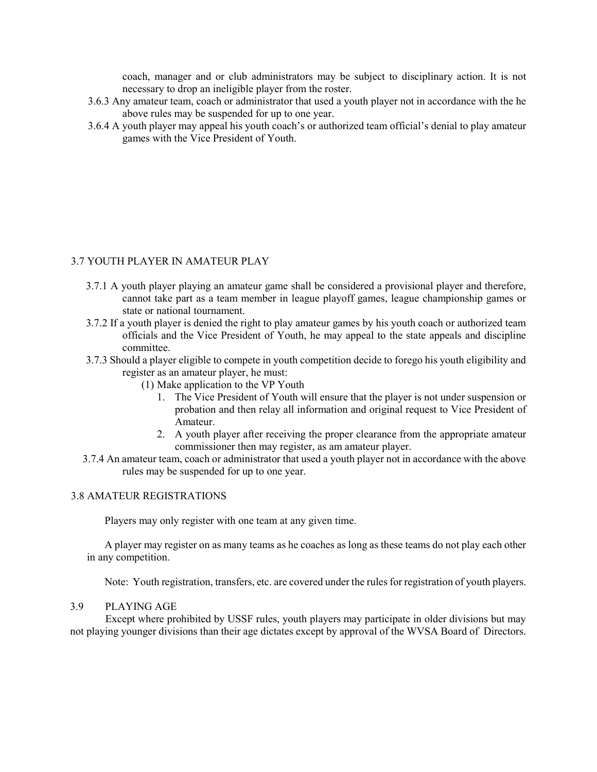coach, manager and or club administrators may be subject to disciplinary action. It is not necessary to drop an ineligible player from the roster.

- 3.6.3 Any amateur team, coach or administrator that used a youth player not in accordance with the he above rules may be suspended for up to one year.
- 3.6.4 A youth player may appeal his youth coach's or authorized team official's denial to play amateur games with the Vice President of Youth.

## 3.7 YOUTH PLAYER IN AMATEUR PLAY

- 3.7.1 A youth player playing an amateur game shall be considered a provisional player and therefore, cannot take part as a team member in league playoff games, league championship games or state or national tournament.
- 3.7.2 If a youth player is denied the right to play amateur games by his youth coach or authorized team officials and the Vice President of Youth, he may appeal to the state appeals and discipline committee.
- 3.7.3 Should a player eligible to compete in youth competition decide to forego his youth eligibility and register as an amateur player, he must:
	- (1) Make application to the VP Youth
		- 1. The Vice President of Youth will ensure that the player is not under suspension or probation and then relay all information and original request to Vice President of Amateur.
		- 2. A youth player after receiving the proper clearance from the appropriate amateur commissioner then may register, as am amateur player.
- 3.7.4 An amateur team, coach or administrator that used a youth player not in accordance with the above rules may be suspended for up to one year.

### 3.8 AMATEUR REGISTRATIONS

Players may only register with one team at any given time.

A player may register on as many teams as he coaches as long as these teams do not play each other in any competition.

Note: Youth registration, transfers, etc. are covered under the rules for registration of youth players.

## 3.9 PLAYING AGE

 Except where prohibited by USSF rules, youth players may participate in older divisions but may not playing younger divisions than their age dictates except by approval of the WVSA Board of Directors.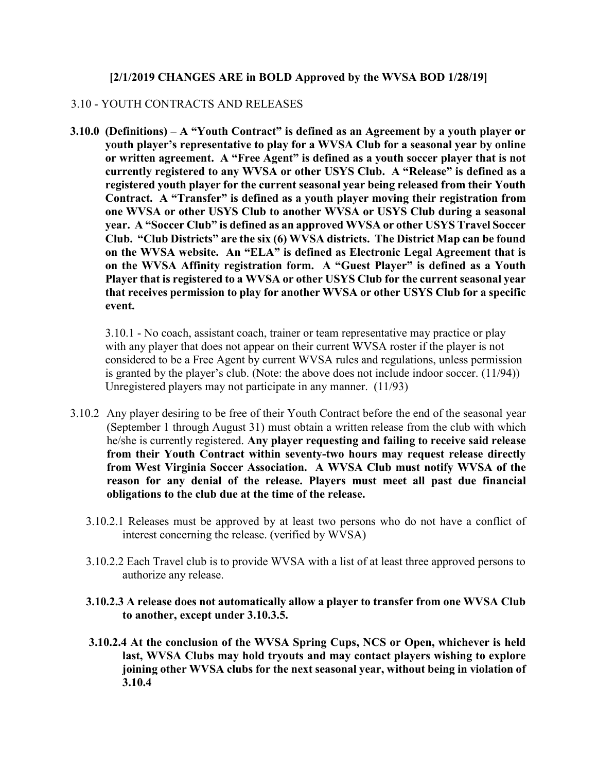# [2/1/2019 CHANGES ARE in BOLD Approved by the WVSA BOD 1/28/19]

# 3.10 - YOUTH CONTRACTS AND RELEASES

3.10.0 (Definitions) – A "Youth Contract" is defined as an Agreement by a youth player or youth player's representative to play for a WVSA Club for a seasonal year by online or written agreement. A "Free Agent" is defined as a youth soccer player that is not currently registered to any WVSA or other USYS Club. A "Release" is defined as a registered youth player for the current seasonal year being released from their Youth Contract. A "Transfer" is defined as a youth player moving their registration from one WVSA or other USYS Club to another WVSA or USYS Club during a seasonal year. A "Soccer Club" is defined as an approved WVSA or other USYS Travel Soccer Club. "Club Districts" are the six (6) WVSA districts. The District Map can be found on the WVSA website. An "ELA" is defined as Electronic Legal Agreement that is on the WVSA Affinity registration form. A "Guest Player" is defined as a Youth Player that is registered to a WVSA or other USYS Club for the current seasonal year that receives permission to play for another WVSA or other USYS Club for a specific event.

3.10.1 - No coach, assistant coach, trainer or team representative may practice or play with any player that does not appear on their current WVSA roster if the player is not considered to be a Free Agent by current WVSA rules and regulations, unless permission is granted by the player's club. (Note: the above does not include indoor soccer. (11/94)) Unregistered players may not participate in any manner. (11/93)

- 3.10.2 Any player desiring to be free of their Youth Contract before the end of the seasonal year (September 1 through August 31) must obtain a written release from the club with which he/she is currently registered. Any player requesting and failing to receive said release from their Youth Contract within seventy-two hours may request release directly from West Virginia Soccer Association. A WVSA Club must notify WVSA of the reason for any denial of the release. Players must meet all past due financial obligations to the club due at the time of the release.
	- 3.10.2.1 Releases must be approved by at least two persons who do not have a conflict of interest concerning the release. (verified by WVSA)
	- 3.10.2.2 Each Travel club is to provide WVSA with a list of at least three approved persons to authorize any release.
	- 3.10.2.3 A release does not automatically allow a player to transfer from one WVSA Club to another, except under 3.10.3.5.
	- 3.10.2.4 At the conclusion of the WVSA Spring Cups, NCS or Open, whichever is held last, WVSA Clubs may hold tryouts and may contact players wishing to explore joining other WVSA clubs for the next seasonal year, without being in violation of 3.10.4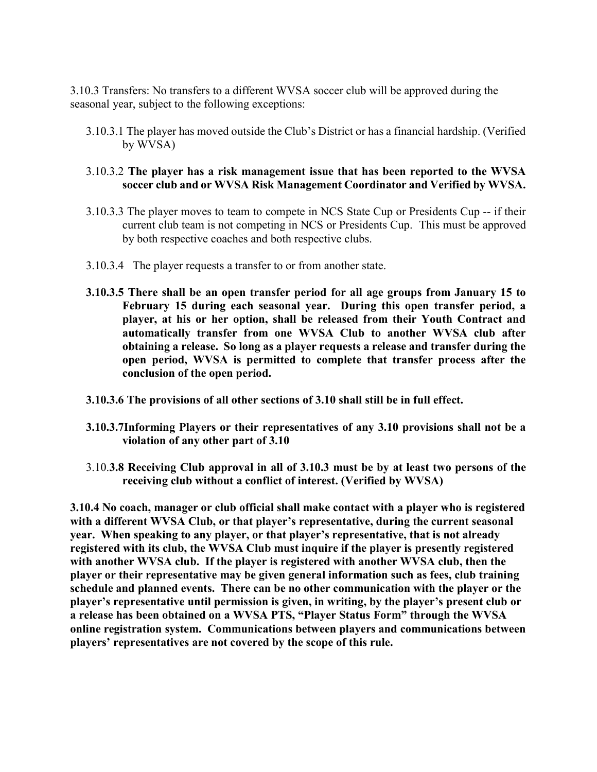3.10.3 Transfers: No transfers to a different WVSA soccer club will be approved during the seasonal year, subject to the following exceptions:

3.10.3.1 The player has moved outside the Club's District or has a financial hardship. (Verified by WVSA)

# 3.10.3.2 The player has a risk management issue that has been reported to the WVSA soccer club and or WVSA Risk Management Coordinator and Verified by WVSA.

- 3.10.3.3 The player moves to team to compete in NCS State Cup or Presidents Cup -- if their current club team is not competing in NCS or Presidents Cup. This must be approved by both respective coaches and both respective clubs.
- 3.10.3.4 The player requests a transfer to or from another state.
- 3.10.3.5 There shall be an open transfer period for all age groups from January 15 to February 15 during each seasonal year. During this open transfer period, a player, at his or her option, shall be released from their Youth Contract and automatically transfer from one WVSA Club to another WVSA club after obtaining a release. So long as a player requests a release and transfer during the open period, WVSA is permitted to complete that transfer process after the conclusion of the open period.
- 3.10.3.6 The provisions of all other sections of 3.10 shall still be in full effect.
- 3.10.3.7Informing Players or their representatives of any 3.10 provisions shall not be a violation of any other part of 3.10
- 3.10.3.8 Receiving Club approval in all of 3.10.3 must be by at least two persons of the receiving club without a conflict of interest. (Verified by WVSA)

3.10.4 No coach, manager or club official shall make contact with a player who is registered with a different WVSA Club, or that player's representative, during the current seasonal year. When speaking to any player, or that player's representative, that is not already registered with its club, the WVSA Club must inquire if the player is presently registered with another WVSA club. If the player is registered with another WVSA club, then the player or their representative may be given general information such as fees, club training schedule and planned events. There can be no other communication with the player or the player's representative until permission is given, in writing, by the player's present club or a release has been obtained on a WVSA PTS, "Player Status Form" through the WVSA online registration system. Communications between players and communications between players' representatives are not covered by the scope of this rule.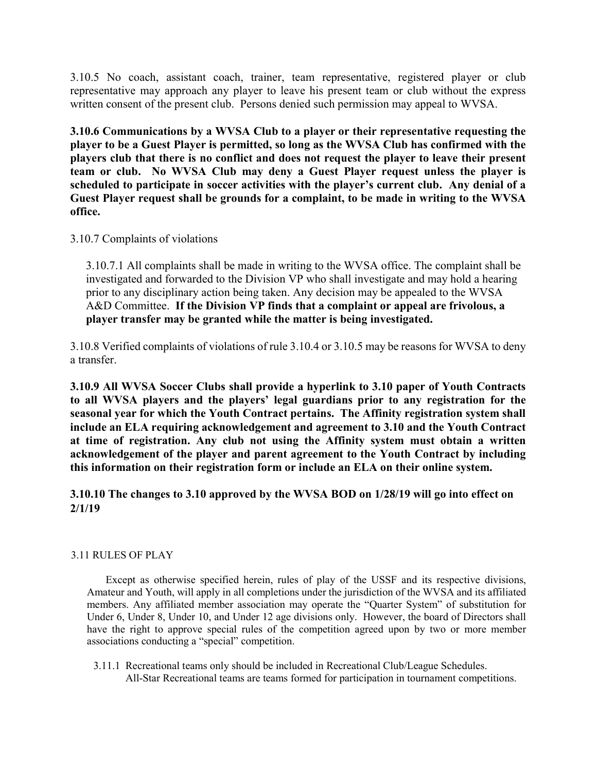3.10.5 No coach, assistant coach, trainer, team representative, registered player or club representative may approach any player to leave his present team or club without the express written consent of the present club. Persons denied such permission may appeal to WVSA.

3.10.6 Communications by a WVSA Club to a player or their representative requesting the player to be a Guest Player is permitted, so long as the WVSA Club has confirmed with the players club that there is no conflict and does not request the player to leave their present team or club. No WVSA Club may deny a Guest Player request unless the player is scheduled to participate in soccer activities with the player's current club. Any denial of a Guest Player request shall be grounds for a complaint, to be made in writing to the WVSA office.

# 3.10.7 Complaints of violations

3.10.7.1 All complaints shall be made in writing to the WVSA office. The complaint shall be investigated and forwarded to the Division VP who shall investigate and may hold a hearing prior to any disciplinary action being taken. Any decision may be appealed to the WVSA A&D Committee. If the Division VP finds that a complaint or appeal are frivolous, a player transfer may be granted while the matter is being investigated.

3.10.8 Verified complaints of violations of rule 3.10.4 or 3.10.5 may be reasons for WVSA to deny a transfer.

3.10.9 All WVSA Soccer Clubs shall provide a hyperlink to 3.10 paper of Youth Contracts to all WVSA players and the players' legal guardians prior to any registration for the seasonal year for which the Youth Contract pertains. The Affinity registration system shall include an ELA requiring acknowledgement and agreement to 3.10 and the Youth Contract at time of registration. Any club not using the Affinity system must obtain a written acknowledgement of the player and parent agreement to the Youth Contract by including this information on their registration form or include an ELA on their online system.

3.10.10 The changes to 3.10 approved by the WVSA BOD on 1/28/19 will go into effect on 2/1/19

# 3.11 RULES OF PLAY

Except as otherwise specified herein, rules of play of the USSF and its respective divisions, Amateur and Youth, will apply in all completions under the jurisdiction of the WVSA and its affiliated members. Any affiliated member association may operate the "Quarter System" of substitution for Under 6, Under 8, Under 10, and Under 12 age divisions only. However, the board of Directors shall have the right to approve special rules of the competition agreed upon by two or more member associations conducting a "special" competition.

 3.11.1 Recreational teams only should be included in Recreational Club/League Schedules. All-Star Recreational teams are teams formed for participation in tournament competitions.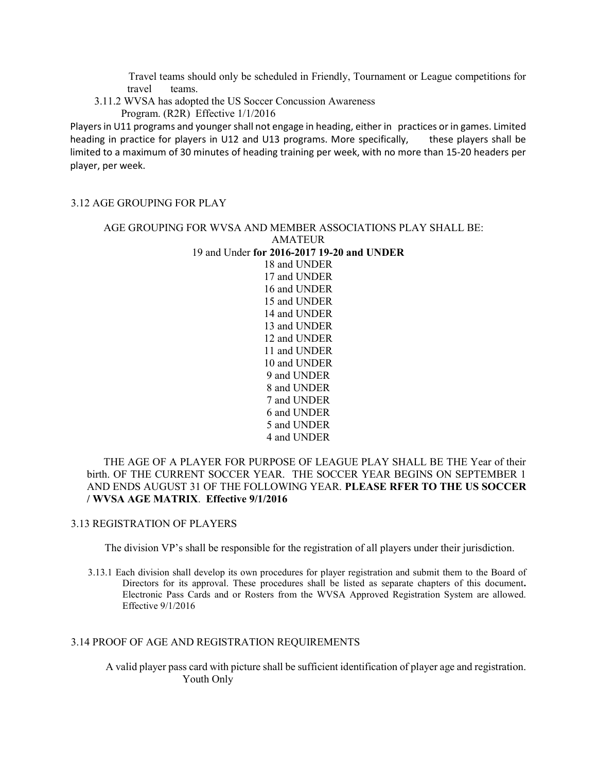Travel teams should only be scheduled in Friendly, Tournament or League competitions for travel teams.

3.11.2 WVSA has adopted the US Soccer Concussion Awareness

Program. (R2R) Effective 1/1/2016

Players in U11 programs and younger shall not engage in heading, either in practices or in games. Limited heading in practice for players in U12 and U13 programs. More specifically, these players shall be limited to a maximum of 30 minutes of heading training per week, with no more than 15-20 headers per player, per week.

#### 3.12 AGE GROUPING FOR PLAY

# AGE GROUPING FOR WVSA AND MEMBER ASSOCIATIONS PLAY SHALL BE: AMATEUR 19 and Under for 2016-2017 19-20 and UNDER 18 and UNDER 17 and UNDER 16 and UNDER 15 and UNDER 14 and UNDER 13 and UNDER

12 and UNDER 11 and UNDER 10 and UNDER 9 and UNDER 8 and UNDER 7 and UNDER 6 and UNDER 5 and UNDER 4 and UNDER

# THE AGE OF A PLAYER FOR PURPOSE OF LEAGUE PLAY SHALL BE THE Year of their birth. OF THE CURRENT SOCCER YEAR. THE SOCCER YEAR BEGINS ON SEPTEMBER 1 AND ENDS AUGUST 31 OF THE FOLLOWING YEAR. PLEASE RFER TO THE US SOCCER / WVSA AGE MATRIX. Effective 9/1/2016

#### 3.13 REGISTRATION OF PLAYERS

The division VP's shall be responsible for the registration of all players under their jurisdiction.

3.13.1 Each division shall develop its own procedures for player registration and submit them to the Board of Directors for its approval. These procedures shall be listed as separate chapters of this document. Electronic Pass Cards and or Rosters from the WVSA Approved Registration System are allowed. Effective 9/1/2016

#### 3.14 PROOF OF AGE AND REGISTRATION REQUIREMENTS

A valid player pass card with picture shall be sufficient identification of player age and registration. Youth Only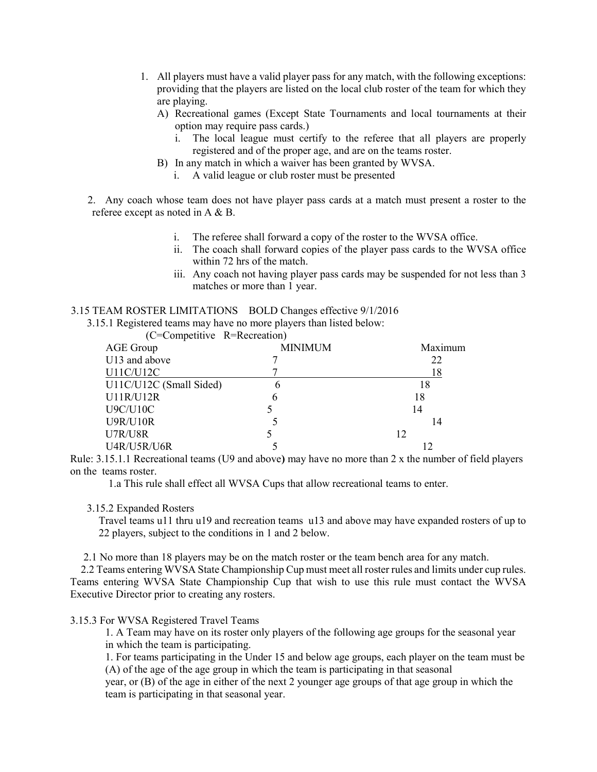- 1. All players must have a valid player pass for any match, with the following exceptions: providing that the players are listed on the local club roster of the team for which they are playing.
	- A) Recreational games (Except State Tournaments and local tournaments at their option may require pass cards.)
		- i. The local league must certify to the referee that all players are properly registered and of the proper age, and are on the teams roster.
	- B) In any match in which a waiver has been granted by WVSA.
		- i. A valid league or club roster must be presented

2. Any coach whose team does not have player pass cards at a match must present a roster to the referee except as noted in A & B.

- i. The referee shall forward a copy of the roster to the WVSA office.
- ii. The coach shall forward copies of the player pass cards to the WVSA office within 72 hrs of the match.
- iii. Any coach not having player pass cards may be suspended for not less than 3 matches or more than 1 year.

#### 3.15 TEAM ROSTER LIMITATIONS BOLD Changes effective 9/1/2016

3.15.1 Registered teams may have no more players than listed below:

| (C=Competitive R=Recreation) |                |         |
|------------------------------|----------------|---------|
| AGE Group                    | <b>MINIMUM</b> | Maximum |
| U13 and above                |                | 22      |
| U11C/U12C                    |                | 18      |
| U11C/U12C (Small Sided)      |                | 18      |
| U11R/U12R                    | h              | 18      |
| <b>U9C/U10C</b>              |                | 14      |
| <b>U9R/U10R</b>              |                | 14      |
| U7R/U8R                      |                | 12      |
| U4R/U5R/U6R                  |                |         |

Rule: 3.15.1.1 Recreational teams (U9 and above) may have no more than 2 x the number of field players on the teams roster.

1.a This rule shall effect all WVSA Cups that allow recreational teams to enter.

3.15.2 Expanded Rosters

Travel teams u11 thru u19 and recreation teams u13 and above may have expanded rosters of up to 22 players, subject to the conditions in 1 and 2 below.

2.1 No more than 18 players may be on the match roster or the team bench area for any match.

 2.2 Teams entering WVSA State Championship Cup must meet all roster rules and limits under cup rules. Teams entering WVSA State Championship Cup that wish to use this rule must contact the WVSA Executive Director prior to creating any rosters.

## 3.15.3 For WVSA Registered Travel Teams

1. A Team may have on its roster only players of the following age groups for the seasonal year in which the team is participating.

1. For teams participating in the Under 15 and below age groups, each player on the team must be (A) of the age of the age group in which the team is participating in that seasonal

year, or (B) of the age in either of the next 2 younger age groups of that age group in which the team is participating in that seasonal year.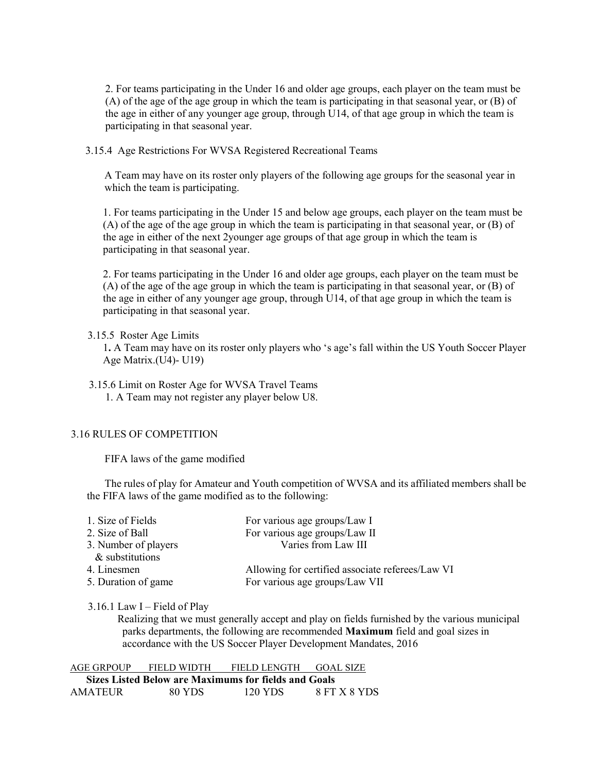2. For teams participating in the Under 16 and older age groups, each player on the team must be (A) of the age of the age group in which the team is participating in that seasonal year, or (B) of the age in either of any younger age group, through U14, of that age group in which the team is participating in that seasonal year.

3.15.4 Age Restrictions For WVSA Registered Recreational Teams

A Team may have on its roster only players of the following age groups for the seasonal year in which the team is participating.

1. For teams participating in the Under 15 and below age groups, each player on the team must be (A) of the age of the age group in which the team is participating in that seasonal year, or (B) of the age in either of the next 2younger age groups of that age group in which the team is participating in that seasonal year.

2. For teams participating in the Under 16 and older age groups, each player on the team must be (A) of the age of the age group in which the team is participating in that seasonal year, or (B) of the age in either of any younger age group, through U14, of that age group in which the team is participating in that seasonal year.

## 3.15.5 Roster Age Limits

1. A Team may have on its roster only players who 's age's fall within the US Youth Soccer Player Age Matrix.(U4)- U19)

 3.15.6 Limit on Roster Age for WVSA Travel Teams 1. A Team may not register any player below U8.

### 3.16 RULES OF COMPETITION

FIFA laws of the game modified

The rules of play for Amateur and Youth competition of WVSA and its affiliated members shall be the FIFA laws of the game modified as to the following:

| 1. Size of Fields    | For various age groups/Law I                     |
|----------------------|--------------------------------------------------|
| 2. Size of Ball      | For various age groups/Law II                    |
| 3. Number of players | Varies from Law III                              |
| & substitutions      |                                                  |
| 4. Linesmen          | Allowing for certified associate referees/Law VI |
| 5. Duration of game  | For various age groups/Law VII                   |
|                      |                                                  |

3.16.1 Law  $I$  – Field of Play

 Realizing that we must generally accept and play on fields furnished by the various municipal parks departments, the following are recommended Maximum field and goal sizes in accordance with the US Soccer Player Development Mandates, 2016

| AGE GRPOUP | FIELD WIDTH | FIELD LENGTH                                         | GOAL SIZE    |
|------------|-------------|------------------------------------------------------|--------------|
|            |             | Sizes Listed Below are Maximums for fields and Goals |              |
| AMATEUR    | 80 YDS      | 120 YDS                                              | 8 FT X 8 YDS |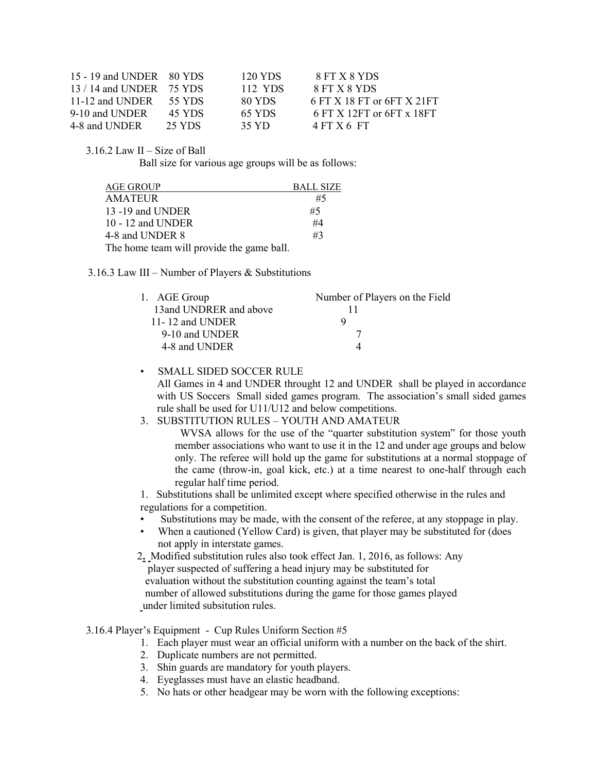| 15 - 19 and UNDER 80 YDS         |        | 120 YDS | 8 FT X 8 YDS               |
|----------------------------------|--------|---------|----------------------------|
| 13 / 14 and UNDER 75 YDS         |        | 112 YDS | 8 FT X 8 YDS               |
| 11-12 and UNDER $\qquad$ 55 YDS. |        | 80 YDS  | 6 FT X 18 FT or 6FT X 21FT |
| 9-10 and UNDER                   | 45 YDS | 65 YDS  | 6 FT X 12FT or 6FT x 18FT  |
| 4-8 and UNDER                    | 25 YDS | 35 YD.  | $4$ FT X 6 FT              |

3.16.2 Law II – Size of Ball

Ball size for various age groups will be as follows:

| AGE GROUP                                 | <b>BALL SIZE</b> |
|-------------------------------------------|------------------|
| AMATEUR                                   | #5               |
| 13 -19 and UNDER                          | #5               |
| 10 - 12 and UNDER                         | #4               |
| 4-8 and UNDER 8                           | #3               |
| The home team will provide the game ball. |                  |

#### 3.16.3 Law III – Number of Players & Substitutions

| 1. AGE Group            | Number of Players on the Field |
|-------------------------|--------------------------------|
| 13 and UNDRER and above |                                |
| 11-12 and UNDER         |                                |
| 9-10 and UNDER          |                                |
| 4-8 and UNDER           |                                |

## • SMALL SIDED SOCCER RULE

 All Games in 4 and UNDER throught 12 and UNDER shall be played in accordance with US Soccers Small sided games program. The association's small sided games rule shall be used for U11/U12 and below competitions.

#### 3. SUBSTITUTION RULES – YOUTH AND AMATEUR

 WVSA allows for the use of the "quarter substitution system" for those youth member associations who want to use it in the 12 and under age groups and below only. The referee will hold up the game for substitutions at a normal stoppage of the came (throw-in, goal kick, etc.) at a time nearest to one-half through each regular half time period.

1. Substitutions shall be unlimited except where specified otherwise in the rules and regulations for a competition.

- Substitutions may be made, with the consent of the referee, at any stoppage in play.
- When a cautioned (Yellow Card) is given, that player may be substituted for (does not apply in interstate games.
- 2. Modified substitution rules also took effect Jan. 1, 2016, as follows: Any player suspected of suffering a head injury may be substituted for evaluation without the substitution counting against the team's total number of allowed substitutions during the game for those games played under limited subsitution rules.

#### 3.16.4 Player's Equipment - Cup Rules Uniform Section #5

- 1. Each player must wear an official uniform with a number on the back of the shirt.
	- 2. Duplicate numbers are not permitted.
	- 3. Shin guards are mandatory for youth players.
	- 4. Eyeglasses must have an elastic headband.
	- 5. No hats or other headgear may be worn with the following exceptions: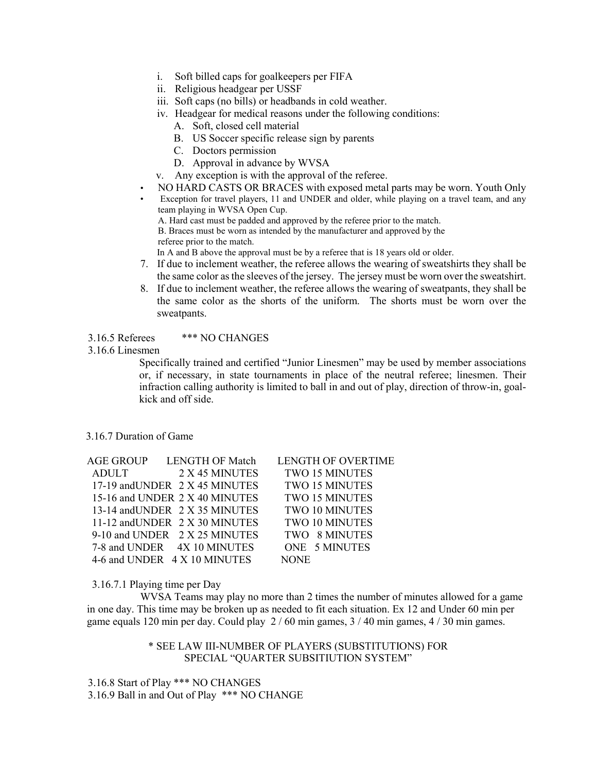- i. Soft billed caps for goalkeepers per FIFA
- ii. Religious headgear per USSF
- iii. Soft caps (no bills) or headbands in cold weather.
- iv. Headgear for medical reasons under the following conditions:
	- A. Soft, closed cell material
	- B. US Soccer specific release sign by parents
	- C. Doctors permission
	- D. Approval in advance by WVSA
- v. Any exception is with the approval of the referee.
- NO HARD CASTS OR BRACES with exposed metal parts may be worn. Youth Only
- Exception for travel players, 11 and UNDER and older, while playing on a travel team, and any team playing in WVSA Open Cup. A. Hard cast must be padded and approved by the referee prior to the match.

B. Braces must be worn as intended by the manufacturer and approved by the

referee prior to the match.

In A and B above the approval must be by a referee that is 18 years old or older.

- 7. If due to inclement weather, the referee allows the wearing of sweatshirts they shall be the same color as the sleeves of the jersey. The jersey must be worn over the sweatshirt.
- 8. If due to inclement weather, the referee allows the wearing of sweatpants, they shall be the same color as the shorts of the uniform. The shorts must be worn over the sweatpants.

# 3.16.5 Referees \*\*\* NO CHANGES

#### 3.16.6 Linesmen

Specifically trained and certified "Junior Linesmen" may be used by member associations or, if necessary, in state tournaments in place of the neutral referee; linesmen. Their infraction calling authority is limited to ball in and out of play, direction of throw-in, goalkick and off side.

## 3.16.7 Duration of Game

| <b>AGE GROUP</b> | <b>LENGTH OF Match</b>         | <b>LENGTH OF OVERTIME</b> |
|------------------|--------------------------------|---------------------------|
| <b>ADULT</b>     | 2 X 45 MINUTES                 | <b>TWO 15 MINUTES</b>     |
|                  | 17-19 and UNDER 2 X 45 MINUTES | TWO 15 MINUTES            |
|                  | 15-16 and UNDER 2 X 40 MINUTES | <b>TWO 15 MINUTES</b>     |
|                  | 13-14 and UNDER 2 X 35 MINUTES | <b>TWO 10 MINUTES</b>     |
|                  | 11-12 and UNDER 2 X 30 MINUTES | TWO 10 MINUTES            |
|                  | 9-10 and UNDER 2 X 25 MINUTES  | TWO 8 MINUTES             |
|                  | 7-8 and UNDER 4X 10 MINUTES    | ONE 5 MINUTES             |
|                  | 4-6 and UNDER 4 X 10 MINUTES   | NONE                      |

#### 3.16.7.1 Playing time per Day

 WVSA Teams may play no more than 2 times the number of minutes allowed for a game in one day. This time may be broken up as needed to fit each situation. Ex 12 and Under 60 min per game equals 120 min per day. Could play 2 / 60 min games, 3 / 40 min games, 4 / 30 min games.

> \* SEE LAW III-NUMBER OF PLAYERS (SUBSTITUTIONS) FOR SPECIAL "QUARTER SUBSITIUTION SYSTEM"

3.16.8 Start of Play \*\*\* NO CHANGES 3.16.9 Ball in and Out of Play \*\*\* NO CHANGE